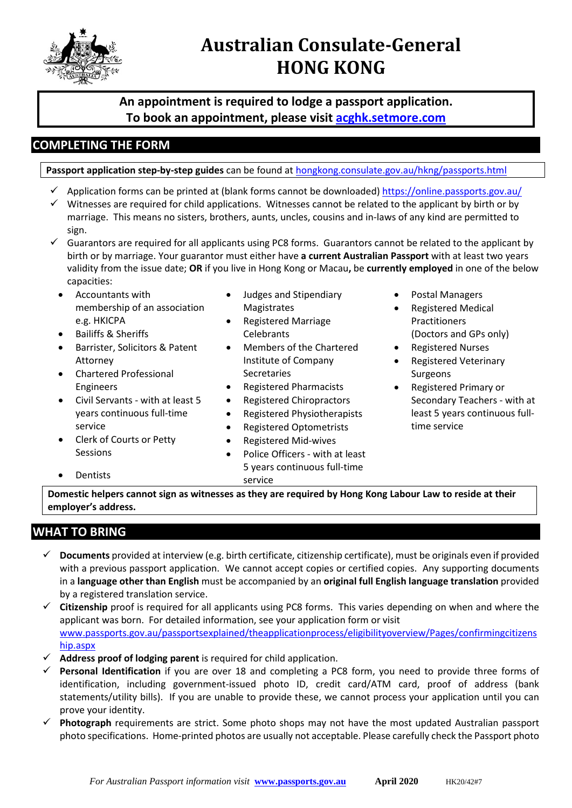

# **Australian Consulate-General HONG KONG**

**An appointment is required to lodge a passport application. To book an appointment, please visit [acghk.setmore.com](https://acghk.setmore.com/)**

## **COMPLETING THE FORM**

**Passport application step-by-step guides** can be found at [hongkong.consulate.gov.au/hkng/passports.html](https://hongkong.consulate.gov.au/hkng/passports.html)

- $\checkmark$  Application forms can be printed at (blank forms cannot be downloaded)<https://online.passports.gov.au/>
- $\checkmark$  Witnesses are required for child applications. Witnesses cannot be related to the applicant by birth or by marriage. This means no sisters, brothers, aunts, uncles, cousins and in-laws of any kind are permitted to sign.
- $\checkmark$  Guarantors are required for all applicants using PC8 forms. Guarantors cannot be related to the applicant by birth or by marriage. Your guarantor must either have **a current Australian Passport** with at least two years validity from the issue date; **OR** if you live in Hong Kong or Macau**,** be **currently employed** in one of the below capacities:
	- Accountants with membership of an association e.g. HKICPA
	- Bailiffs & Sheriffs
	- Barrister, Solicitors & Patent Attorney
	- Chartered Professional Engineers
	- Civil Servants with at least 5 years continuous full-time service
	- Clerk of Courts or Petty Sessions
	- **Dentists**
- Judges and Stipendiary Magistrates
- Registered Marriage **Celebrants**
- Members of the Chartered Institute of Company Secretaries
- Registered Pharmacists
- Registered Chiropractors
- Registered Physiotherapists
- Registered Optometrists
- Registered Mid-wives
- Police Officers with at least 5 years continuous full-time service
- Postal Managers
- Registered Medical Practitioners (Doctors and GPs only)
- Registered Nurses
- Registered Veterinary Surgeons
- Registered Primary or Secondary Teachers - with at least 5 years continuous fulltime service

**Domestic helpers cannot sign as witnesses as they are required by Hong Kong Labour Law to reside at their employer's address.**

## **WHAT TO BRING**

- **Documents** provided at interview (e.g. birth certificate, citizenship certificate), must be originals even if provided with a previous passport application. We cannot accept copies or certified copies. Any supporting documents in a **language other than English** must be accompanied by an **original full English language translation** provided by a registered translation service.
- **Citizenship** proof is required for all applicants using PC8 forms. This varies depending on when and where the applicant was born. For detailed information, see your application form or visit [www.passports.gov.au/passportsexplained/theapplicationprocess/eligibilityoverview/Pages/confirmingcitizens](http://www.passports.gov.au/passportsexplained/theapplicationprocess/eligibilityoverview/Pages/confirmingcitizenship.aspx) [hip.aspx](http://www.passports.gov.au/passportsexplained/theapplicationprocess/eligibilityoverview/Pages/confirmingcitizenship.aspx)
- **Address proof of lodging parent** is required for child application.
- **Personal Identification** if you are over 18 and completing a PC8 form, you need to provide three forms of identification, including government-issued photo ID, credit card/ATM card, proof of address (bank statements/utility bills). If you are unable to provide these, we cannot process your application until you can prove your identity.
- **Photograph** requirements are strict. Some photo shops may not have the most updated Australian passport photo specifications. Home-printed photos are usually not acceptable. Please carefully check the Passport photo